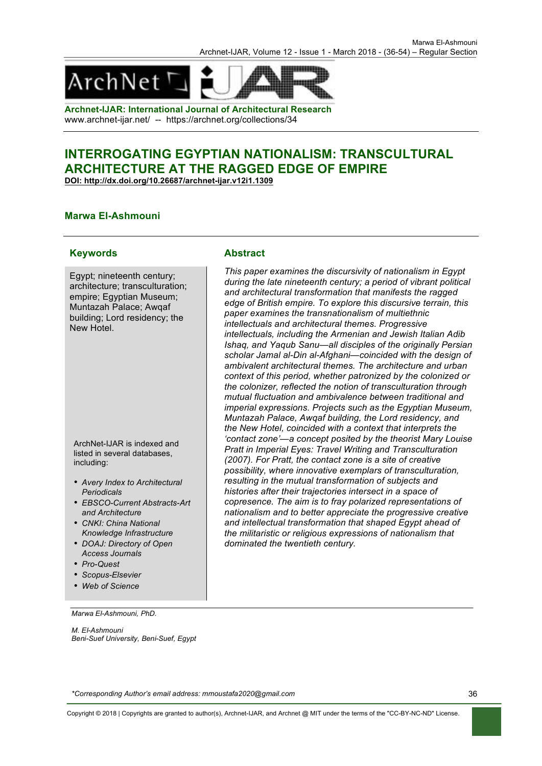

**Archnet-IJAR: International Journal of Architectural Research** www.archnet-ijar.net/ -- https://archnet.org/collections/34

# **INTERROGATING EGYPTIAN NATIONALISM: TRANSCULTURAL ARCHITECTURE AT THE RAGGED EDGE OF EMPIRE**

**DOI: http://dx.doi.org/10.26687/archnet-ijar.v12i1.1309**

#### **Marwa El-Ashmouni**

#### **Keywords Abstract**

Egypt; nineteenth century; architecture; transculturation; empire; Egyptian Museum; Muntazah Palace; Awqaf building; Lord residency; the New Hotel.

ArchNet-IJAR is indexed and listed in several databases, including:

- *Avery Index to Architectural Periodicals*
- *EBSCO-Current Abstracts-Art and Architecture*
- *CNKI: China National Knowledge Infrastructure*
- *DOAJ: Directory of Open Access Journals*
- *Pro-Quest*
- *Scopus-Elsevier*
- *Web of Science*

*This paper examines the discursivity of nationalism in Egypt during the late nineteenth century; a period of vibrant political and architectural transformation that manifests the ragged edge of British empire. To explore this discursive terrain, this paper examines the transnationalism of multiethnic intellectuals and architectural themes. Progressive intellectuals, including the Armenian and Jewish Italian Adib Ishaq, and Yaqub Sanu—all disciples of the originally Persian scholar Jamal al-Din al-Afghani—coincided with the design of ambivalent architectural themes. The architecture and urban context of this period, whether patronized by the colonized or the colonizer, reflected the notion of transculturation through mutual fluctuation and ambivalence between traditional and imperial expressions. Projects such as the Egyptian Museum, Muntazah Palace, Awqaf building, the Lord residency, and the New Hotel, coincided with a context that interprets the 'contact zone'—a concept posited by the theorist Mary Louise Pratt in Imperial Eyes: Travel Writing and Transculturation (2007). For Pratt, the contact zone is a site of creative possibility, where innovative exemplars of transculturation, resulting in the mutual transformation of subjects and histories after their trajectories intersect in a space of copresence. The aim is to fray polarized representations of nationalism and to better appreciate the progressive creative and intellectual transformation that shaped Egypt ahead of the militaristic or religious expressions of nationalism that dominated the twentieth century.*

*Marwa El-Ashmouni, PhD.* 

*M. El-Ashmouni Beni-Suef University, Beni-Suef, Egypt*

*\*Corresponding Author's email address: mmoustafa2020@gmail.com*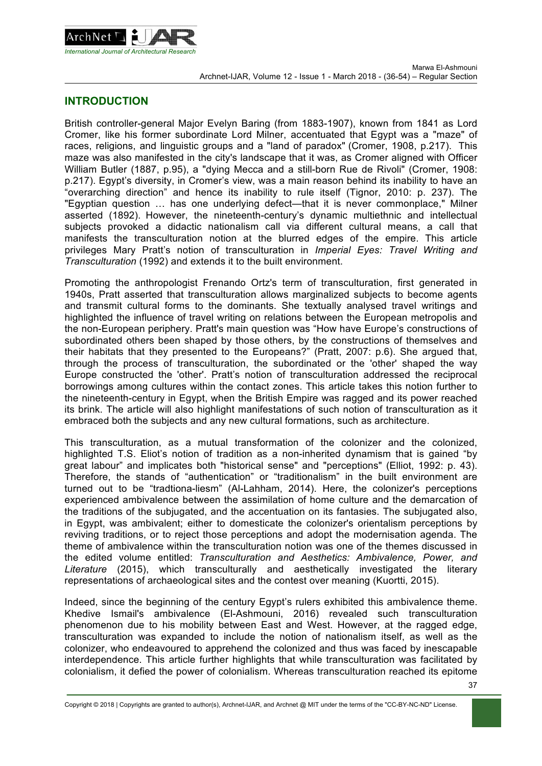

#### **INTRODUCTION**

British controller-general Major Evelyn Baring (from 1883-1907), known from 1841 as Lord Cromer, like his former subordinate Lord Milner, accentuated that Egypt was a "maze" of races, religions, and linguistic groups and a "land of paradox" (Cromer, 1908, p.217). This maze was also manifested in the city's landscape that it was, as Cromer aligned with Officer William Butler (1887, p.95), a "dying Mecca and a still-born Rue de Rivoli" (Cromer, 1908: p.217). Egypt's diversity, in Cromer's view, was a main reason behind its inability to have an "overarching direction" and hence its inability to rule itself (Tignor, 2010: p. 237). The "Egyptian question … has one underlying defect—that it is never commonplace," Milner asserted (1892). However, the nineteenth-century's dynamic multiethnic and intellectual subjects provoked a didactic nationalism call via different cultural means, a call that manifests the transculturation notion at the blurred edges of the empire. This article privileges Mary Pratt's notion of transculturation in *Imperial Eyes: Travel Writing and Transculturation* (1992) and extends it to the built environment.

Promoting the anthropologist Frenando Ortz's term of transculturation, first generated in 1940s, Pratt asserted that transculturation allows marginalized subjects to become agents and transmit cultural forms to the dominants. She textually analysed travel writings and highlighted the influence of travel writing on relations between the European metropolis and the non-European periphery. Pratt's main question was "How have Europe's constructions of subordinated others been shaped by those others, by the constructions of themselves and their habitats that they presented to the Europeans?" (Pratt, 2007: p.6). She argued that, through the process of transculturation, the subordinated or the 'other' shaped the way Europe constructed the 'other'. Pratt's notion of transculturation addressed the reciprocal borrowings among cultures within the contact zones. This article takes this notion further to the nineteenth-century in Egypt, when the British Empire was ragged and its power reached its brink. The article will also highlight manifestations of such notion of transculturation as it embraced both the subjects and any new cultural formations, such as architecture.

This transculturation, as a mutual transformation of the colonizer and the colonized, highlighted T.S. Eliot's notion of tradition as a non-inherited dynamism that is gained "by great labour" and implicates both "historical sense" and "perceptions" (Elliot, 1992: p. 43). Therefore, the stands of "authentication" or "traditionalism" in the built environment are turned out to be "tradtiona-liesm" (Al-Lahham, 2014). Here, the colonizer's perceptions experienced ambivalence between the assimilation of home culture and the demarcation of the traditions of the subjugated, and the accentuation on its fantasies. The subjugated also, in Egypt, was ambivalent; either to domesticate the colonizer's orientalism perceptions by reviving traditions, or to reject those perceptions and adopt the modernisation agenda. The theme of ambivalence within the transculturation notion was one of the themes discussed in the edited volume entitled: *Transculturation and Aesthetics: Ambivalence, Power, and Literature* (2015), which transculturally and aesthetically investigated the literary representations of archaeological sites and the contest over meaning (Kuortti, 2015).

Indeed, since the beginning of the century Egypt's rulers exhibited this ambivalence theme. Khedive Ismail's ambivalence (El-Ashmouni, 2016) revealed such transculturation phenomenon due to his mobility between East and West. However, at the ragged edge, transculturation was expanded to include the notion of nationalism itself, as well as the colonizer, who endeavoured to apprehend the colonized and thus was faced by inescapable interdependence. This article further highlights that while transculturation was facilitated by colonialism, it defied the power of colonialism. Whereas transculturation reached its epitome

Copyright © 2018 | Copyrights are granted to author(s), Archnet-IJAR, and Archnet @ MIT under the terms of the "CC-BY-NC-ND" License.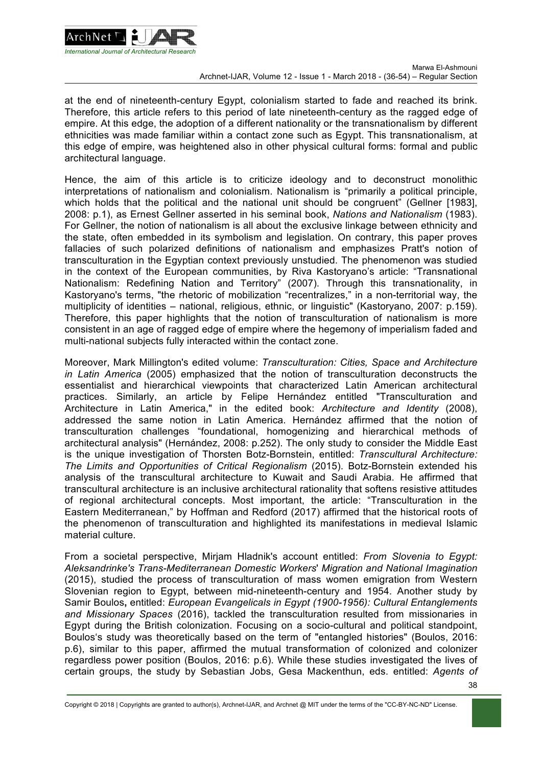

at the end of nineteenth-century Egypt, colonialism started to fade and reached its brink. Therefore, this article refers to this period of late nineteenth-century as the ragged edge of empire. At this edge, the adoption of a different nationality or the transnationalism by different ethnicities was made familiar within a contact zone such as Egypt. This transnationalism, at this edge of empire, was heightened also in other physical cultural forms: formal and public architectural language.

Hence, the aim of this article is to criticize ideology and to deconstruct monolithic interpretations of nationalism and colonialism. Nationalism is "primarily a political principle, which holds that the political and the national unit should be congruent" (Gellner [1983], 2008: p.1), as Ernest Gellner asserted in his seminal book, *Nations and Nationalism* (1983). For Gellner, the notion of nationalism is all about the exclusive linkage between ethnicity and the state, often embedded in its symbolism and legislation. On contrary, this paper proves fallacies of such polarized definitions of nationalism and emphasizes Pratt's notion of transculturation in the Egyptian context previously unstudied. The phenomenon was studied in the context of the European communities, by Riva Kastoryano's article: "Transnational Nationalism: Redefining Nation and Territory" (2007). Through this transnationality, in Kastoryano's terms, "the rhetoric of mobilization "recentralizes," in a non-territorial way, the multiplicity of identities – national, religious, ethnic, or linguistic" (Kastoryano, 2007: p.159). Therefore, this paper highlights that the notion of transculturation of nationalism is more consistent in an age of ragged edge of empire where the hegemony of imperialism faded and multi-national subjects fully interacted within the contact zone.

Moreover, Mark Millington's edited volume: *Transculturation: Cities, Space and Architecture in Latin America* (2005) emphasized that the notion of transculturation deconstructs the essentialist and hierarchical viewpoints that characterized Latin American architectural practices. Similarly, an article by Felipe Hernández entitled "Transculturation and Architecture in Latin America," in the edited book: *Architecture and Identity* (2008), addressed the same notion in Latin America. Hernández affirmed that the notion of transculturation challenges "foundational, homogenizing and hierarchical methods of architectural analysis" (Hernández, 2008: p.252). The only study to consider the Middle East is the unique investigation of Thorsten Botz-Bornstein, entitled: *Transcultural Architecture: The Limits and Opportunities of Critical Regionalism* (2015). Botz-Bornstein extended his analysis of the transcultural architecture to Kuwait and Saudi Arabia. He affirmed that transcultural architecture is an inclusive architectural rationality that softens resistive attitudes of regional architectural concepts. Most important, the article: "Transculturation in the Eastern Mediterranean," by Hoffman and Redford (2017) affirmed that the historical roots of the phenomenon of transculturation and highlighted its manifestations in medieval Islamic material culture.

From a societal perspective, Mirjam Hladnik's account entitled: *From Slovenia to Egypt: Aleksandrinke's Trans-Mediterranean Domestic Workers*' *Migration and National Imagination*  (2015), studied the process of transculturation of mass women emigration from Western Slovenian region to Egypt, between mid-nineteenth-century and 1954. Another study by Samir Boulos**,** entitled: *European Evangelicals in Egypt (1900-1956): Cultural Entanglements and Missionary Spaces* (2016), tackled the transculturation resulted from missionaries in Egypt during the British colonization. Focusing on a socio-cultural and political standpoint, Boulos's study was theoretically based on the term of "entangled histories" (Boulos, 2016: p.6), similar to this paper, affirmed the mutual transformation of colonized and colonizer regardless power position (Boulos, 2016: p.6). While these studies investigated the lives of certain groups, the study by Sebastian Jobs, Gesa Mackenthun, eds. entitled: *Agents of*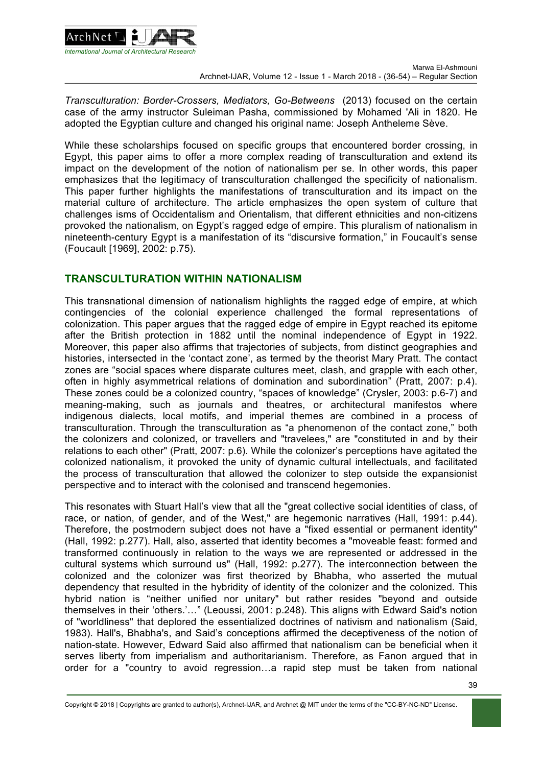

*Transculturation: Border-Crossers, Mediators, Go-Betweens* (2013) focused on the certain case of the army instructor Suleiman Pasha, commissioned by Mohamed 'Ali in 1820. He adopted the Egyptian culture and changed his original name: Joseph Antheleme Sève.

While these scholarships focused on specific groups that encountered border crossing, in Egypt, this paper aims to offer a more complex reading of transculturation and extend its impact on the development of the notion of nationalism per se. In other words, this paper emphasizes that the legitimacy of transculturation challenged the specificity of nationalism. This paper further highlights the manifestations of transculturation and its impact on the material culture of architecture. The article emphasizes the open system of culture that challenges isms of Occidentalism and Orientalism, that different ethnicities and non-citizens provoked the nationalism, on Egypt's ragged edge of empire. This pluralism of nationalism in nineteenth-century Egypt is a manifestation of its "discursive formation," in Foucault's sense (Foucault [1969], 2002: p.75).

#### **TRANSCULTURATION WITHIN NATIONALISM**

This transnational dimension of nationalism highlights the ragged edge of empire, at which contingencies of the colonial experience challenged the formal representations of colonization. This paper argues that the ragged edge of empire in Egypt reached its epitome after the British protection in 1882 until the nominal independence of Egypt in 1922. Moreover, this paper also affirms that trajectories of subjects, from distinct geographies and histories, intersected in the 'contact zone', as termed by the theorist Mary Pratt. The contact zones are "social spaces where disparate cultures meet, clash, and grapple with each other, often in highly asymmetrical relations of domination and subordination" (Pratt, 2007: p.4). These zones could be a colonized country, "spaces of knowledge" (Crysler, 2003: p.6-7) and meaning-making, such as journals and theatres, or architectural manifestos where indigenous dialects, local motifs, and imperial themes are combined in a process of transculturation. Through the transculturation as "a phenomenon of the contact zone," both the colonizers and colonized, or travellers and "travelees," are "constituted in and by their relations to each other" (Pratt, 2007: p.6). While the colonizer's perceptions have agitated the colonized nationalism, it provoked the unity of dynamic cultural intellectuals, and facilitated the process of transculturation that allowed the colonizer to step outside the expansionist perspective and to interact with the colonised and transcend hegemonies.

This resonates with Stuart Hall's view that all the "great collective social identities of class, of race, or nation, of gender, and of the West," are hegemonic narratives (Hall, 1991; p.44). Therefore, the postmodern subject does not have a "fixed essential or permanent identity" (Hall, 1992: p.277). Hall, also, asserted that identity becomes a "moveable feast: formed and transformed continuously in relation to the ways we are represented or addressed in the cultural systems which surround us" (Hall, 1992: p.277). The interconnection between the colonized and the colonizer was first theorized by Bhabha, who asserted the mutual dependency that resulted in the hybridity of identity of the colonizer and the colonized. This hybrid nation is "neither unified nor unitary" but rather resides "beyond and outside themselves in their 'others.'…" (Leoussi, 2001: p.248). This aligns with Edward Said's notion of "worldliness" that deplored the essentialized doctrines of nativism and nationalism (Said, 1983). Hall's, Bhabha's, and Said's conceptions affirmed the deceptiveness of the notion of nation-state. However, Edward Said also affirmed that nationalism can be beneficial when it serves liberty from imperialism and authoritarianism. Therefore, as Fanon argued that in order for a "country to avoid regression…a rapid step must be taken from national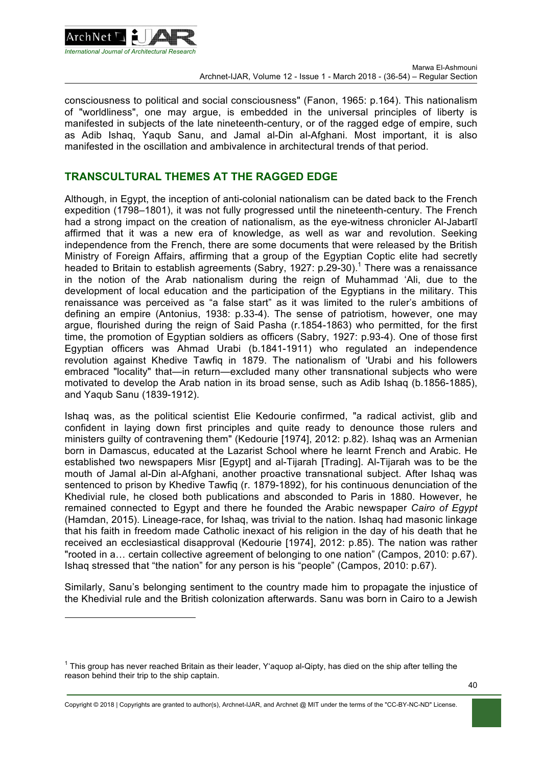

l

consciousness to political and social consciousness" (Fanon, 1965: p.164). This nationalism of "worldliness", one may argue, is embedded in the universal principles of liberty is manifested in subjects of the late nineteenth-century, or of the ragged edge of empire, such as Adib Ishaq, Yaqub Sanu, and Jamal al-Din al-Afghani. Most important, it is also manifested in the oscillation and ambivalence in architectural trends of that period.

#### **TRANSCULTURAL THEMES AT THE RAGGED EDGE**

Although, in Egypt, the inception of anti-colonial nationalism can be dated back to the French expedition (1798–1801), it was not fully progressed until the nineteenth-century. The French had a strong impact on the creation of nationalism, as the eye-witness chronicler Al-Jabartī affirmed that it was a new era of knowledge, as well as war and revolution. Seeking independence from the French, there are some documents that were released by the British Ministry of Foreign Affairs, affirming that a group of the Egyptian Coptic elite had secretly headed to Britain to establish agreements (Sabry, 1927: p.29-30).<sup>1</sup> There was a renaissance in the notion of the Arab nationalism during the reign of Muhammad 'Ali, due to the development of local education and the participation of the Egyptians in the military. This renaissance was perceived as "a false start" as it was limited to the ruler's ambitions of defining an empire (Antonius, 1938: p.33-4). The sense of patriotism, however, one may argue, flourished during the reign of Said Pasha (r.1854-1863) who permitted, for the first time, the promotion of Egyptian soldiers as officers (Sabry, 1927: p.93-4). One of those first Egyptian officers was Ahmad Urabi (b.1841-1911) who regulated an independence revolution against Khedive Tawfiq in 1879. The nationalism of 'Urabi and his followers embraced "locality" that—in return—excluded many other transnational subjects who were motivated to develop the Arab nation in its broad sense, such as Adib Ishaq (b.1856-1885), and Yaqub Sanu (1839-1912).

Ishaq was, as the political scientist Elie Kedourie confirmed, "a radical activist, glib and confident in laying down first principles and quite ready to denounce those rulers and ministers guilty of contravening them" (Kedourie [1974], 2012: p.82). Ishaq was an Armenian born in Damascus, educated at the Lazarist School where he learnt French and Arabic. He established two newspapers Misr [Egypt] and al-Tijarah [Trading]. Al-Tijarah was to be the mouth of Jamal al-Din al-Afghani, another proactive transnational subject. After Ishaq was sentenced to prison by Khedive Tawfiq (r. 1879-1892), for his continuous denunciation of the Khedivial rule, he closed both publications and absconded to Paris in 1880. However, he remained connected to Egypt and there he founded the Arabic newspaper *Cairo of Egypt*  (Hamdan, 2015). Lineage-race, for Ishaq, was trivial to the nation. Ishaq had masonic linkage that his faith in freedom made Catholic inexact of his religion in the day of his death that he received an ecclesiastical disapproval (Kedourie [1974], 2012: p.85). The nation was rather "rooted in a… certain collective agreement of belonging to one nation" (Campos, 2010: p.67). Ishaq stressed that "the nation" for any person is his "people" (Campos, 2010: p.67).

Similarly, Sanu's belonging sentiment to the country made him to propagate the injustice of the Khedivial rule and the British colonization afterwards. Sanu was born in Cairo to a Jewish

Copyright © 2018 | Copyrights are granted to author(s), Archnet-IJAR, and Archnet @ MIT under the terms of the "CC-BY-NC-ND" License.

<sup>&</sup>lt;sup>1</sup> This group has never reached Britain as their leader, Y'aquop al-Qipty, has died on the ship after telling the reason behind their trip to the ship captain.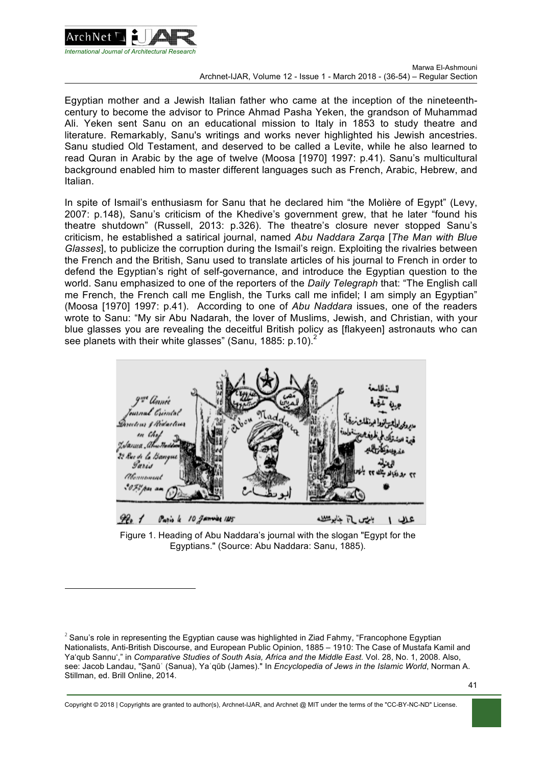

 $\overline{a}$ 

Egyptian mother and a Jewish Italian father who came at the inception of the nineteenthcentury to become the advisor to Prince Ahmad Pasha Yeken, the grandson of Muhammad Ali. Yeken sent Sanu on an educational mission to Italy in 1853 to study theatre and literature. Remarkably, Sanu's writings and works never highlighted his Jewish ancestries. Sanu studied Old Testament, and deserved to be called a Levite, while he also learned to read Quran in Arabic by the age of twelve (Moosa [1970] 1997: p.41). Sanu's multicultural background enabled him to master different languages such as French, Arabic, Hebrew, and Italian.

In spite of Ismail's enthusiasm for Sanu that he declared him "the Molière of Egypt" (Levy, 2007: p.148), Sanu's criticism of the Khedive's government grew, that he later "found his theatre shutdown" (Russell, 2013: p.326). The theatre's closure never stopped Sanu's criticism, he established a satirical journal, named *Abu Naddara Zarqa* [*The Man with Blue Glasses*], to publicize the corruption during the Ismail's reign. Exploiting the rivalries between the French and the British, Sanu used to translate articles of his journal to French in order to defend the Egyptian's right of self-governance, and introduce the Egyptian question to the world. Sanu emphasized to one of the reporters of the *Daily Telegraph* that: "The English call me French, the French call me English, the Turks call me infidel; I am simply an Egyptian" (Moosa [1970] 1997: p.41). According to one of *Abu Naddara* issues, one of the readers wrote to Sanu: "My sir Abu Nadarah, the lover of Muslims, Jewish, and Christian, with your blue glasses you are revealing the deceitful British policy as [flakyeen] astronauts who can see planets with their white glasses" (Sanu, 1885: p.10).<sup>2</sup>



Figure 1. Heading of Abu Naddara's journal with the slogan "Egypt for the Egyptians." (Source: Abu Naddara: Sanu, 1885).

 $2^2$  Sanu's role in representing the Egyptian cause was highlighted in Ziad Fahmy, "Francophone Egyptian Nationalists, Anti-British Discourse, and European Public Opinion, 1885 – 1910: The Case of Mustafa Kamil and Ya'qub Sannu'," in *Comparative Studies of South Asia, Africa and the Middle East.* Vol. 28, No. 1, 2008. Also, see: Jacob Landau, "Ṣanūʿ (Sanua), Yaʿqūb (James)." In *Encyclopedia of Jews in the Islamic World*, Norman A. Stillman, ed. Brill Online, 2014.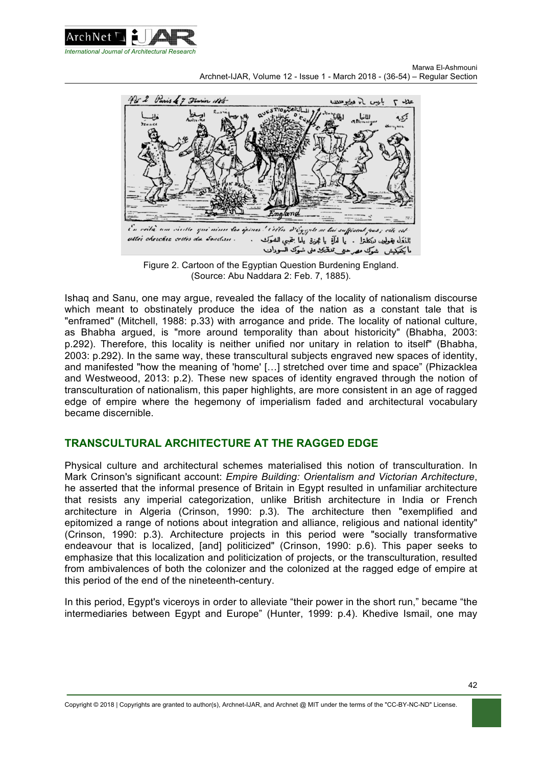



Figure 2. Cartoon of the Egyptian Question Burdening England. (Source: Abu Naddara 2: Feb. 7, 1885).

Ishaq and Sanu, one may argue, revealed the fallacy of the locality of nationalism discourse which meant to obstinately produce the idea of the nation as a constant tale that is "enframed" (Mitchell, 1988: p.33) with arrogance and pride. The locality of national culture, as Bhabha argued, is "more around temporality than about historicity" (Bhabha, 2003: p.292). Therefore, this locality is neither unified nor unitary in relation to itself" (Bhabha, 2003: p.292). In the same way, these transcultural subjects engraved new spaces of identity, and manifested "how the meaning of 'home' […] stretched over time and space" (Phizacklea and Westweood, 2013: p.2). These new spaces of identity engraved through the notion of transculturation of nationalism, this paper highlights, are more consistent in an age of ragged edge of empire where the hegemony of imperialism faded and architectural vocabulary became discernible.

# **TRANSCULTURAL ARCHITECTURE AT THE RAGGED EDGE**

Physical culture and architectural schemes materialised this notion of transculturation. In Mark Crinson's significant account: *Empire Building: Orientalism and Victorian Architecture*, he asserted that the informal presence of Britain in Egypt resulted in unfamiliar architecture that resists any imperial categorization, unlike British architecture in India or French architecture in Algeria (Crinson, 1990: p.3). The architecture then "exemplified and epitomized a range of notions about integration and alliance, religious and national identity" (Crinson, 1990: p.3). Architecture projects in this period were "socially transformative endeavour that is localized, [and] politicized" (Crinson, 1990: p.6). This paper seeks to emphasize that this localization and politicization of projects, or the transculturation, resulted from ambivalences of both the colonizer and the colonized at the ragged edge of empire at this period of the end of the nineteenth-century.

In this period, Egypt's viceroys in order to alleviate "their power in the short run," became "the intermediaries between Egypt and Europe" (Hunter, 1999: p.4). Khedive Ismail, one may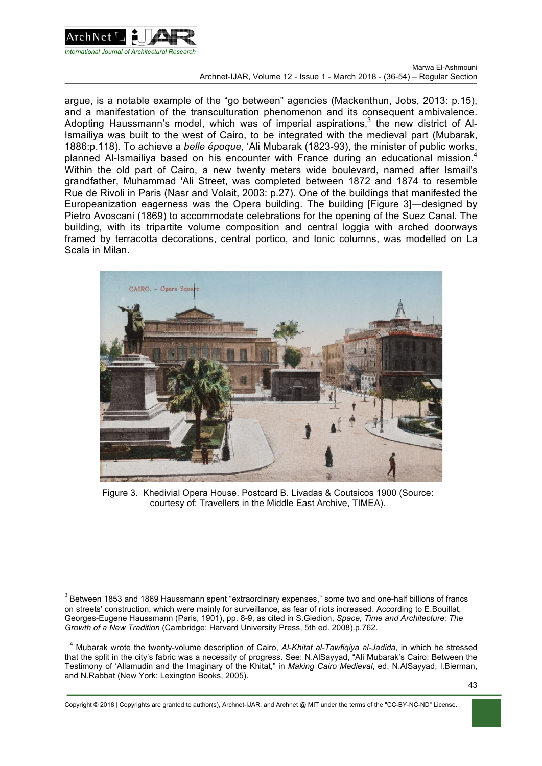

l

argue, is a notable example of the "go between" agencies (Mackenthun, Jobs, 2013: p.15), and a manifestation of the transculturation phenomenon and its consequent ambivalence. Adopting Haussmann's model, which was of imperial aspirations, $3$  the new district of Al-Ismailiya was built to the west of Cairo, to be integrated with the medieval part (Mubarak, 1886:p.118). To achieve a *belle époque*, 'Ali Mubarak (1823-93), the minister of public works, planned Al-Ismailiya based on his encounter with France during an educational mission.<sup>4</sup> Within the old part of Cairo, a new twenty meters wide boulevard, named after Ismail's grandfather, Muhammad 'Ali Street, was completed between 1872 and 1874 to resemble Rue de Rivoli in Paris (Nasr and Volait, 2003: p.27). One of the buildings that manifested the Europeanization eagerness was the Opera building. The building [Figure 3]—designed by Pietro Avoscani (1869) to accommodate celebrations for the opening of the Suez Canal. The building, with its tripartite volume composition and central loggia with arched doorways framed by terracotta decorations, central portico, and Ionic columns, was modelled on La Scala in Milan.



Figure 3. Khedivial Opera House. Postcard B. Livadas & Coutsicos 1900 (Source: courtesy of: Travellers in the Middle East Archive, TIMEA).

<sup>4</sup> Mubarak wrote the twenty-volume description of Cairo, *Al-Khitat al-Tawfiqiya al-Jadida*, in which he stressed that the split in the city's fabric was a necessity of progress. See: N.AlSayyad, "Ali Mubarak's Cairo: Between the Testimony of 'Allamudin and the Imaginary of the Khitat," in *Making Cairo Medieval*, ed. N.AlSayyad, I.Bierman, and N.Rabbat (New York: Lexington Books, 2005).

 $3$  Between 1853 and 1869 Haussmann spent "extraordinary expenses," some two and one-half billions of francs on streets' construction, which were mainly for surveillance, as fear of riots increased. According to E.Bouillat, Georges-Eugene Haussmann (Paris, 1901), pp. 8-9, as cited in S.Giedion, *Space, Time and Architecture: The Growth of a New Tradition* (Cambridge: Harvard University Press, 5th ed. 2008)*,*p.762.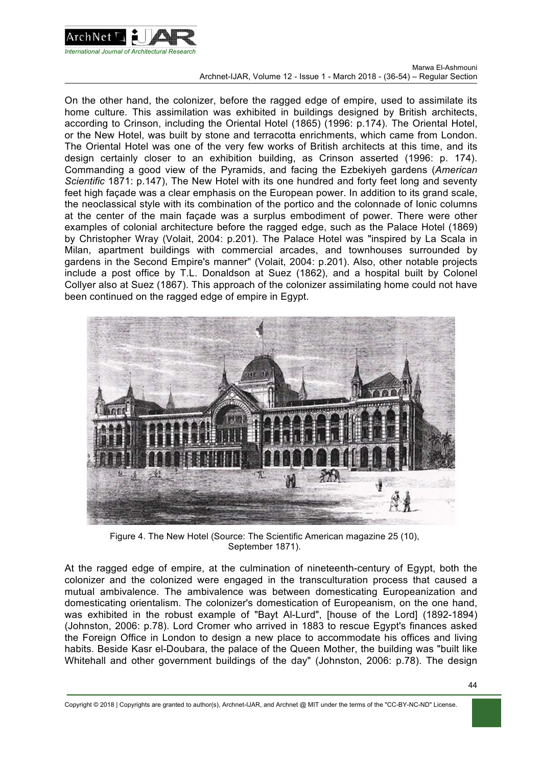

On the other hand, the colonizer, before the ragged edge of empire, used to assimilate its home culture. This assimilation was exhibited in buildings designed by British architects, according to Crinson, including the Oriental Hotel (1865) (1996: p.174). The Oriental Hotel, or the New Hotel, was built by stone and terracotta enrichments, which came from London. The Oriental Hotel was one of the very few works of British architects at this time, and its design certainly closer to an exhibition building, as Crinson asserted (1996: p. 174). Commanding a good view of the Pyramids, and facing the Ezbekiyeh gardens (*American Scientific* 1871: p.147), The New Hotel with its one hundred and forty feet long and seventy feet high façade was a clear emphasis on the European power. In addition to its grand scale, the neoclassical style with its combination of the portico and the colonnade of Ionic columns at the center of the main façade was a surplus embodiment of power. There were other examples of colonial architecture before the ragged edge, such as the Palace Hotel (1869) by Christopher Wray (Volait, 2004: p.201). The Palace Hotel was "inspired by La Scala in Milan, apartment buildings with commercial arcades, and townhouses surrounded by gardens in the Second Empire's manner" (Volait, 2004: p.201). Also, other notable projects include a post office by T.L. Donaldson at Suez (1862), and a hospital built by Colonel Collyer also at Suez (1867). This approach of the colonizer assimilating home could not have been continued on the ragged edge of empire in Egypt.



Figure 4. The New Hotel (Source: The Scientific American magazine 25 (10), September 1871).

At the ragged edge of empire, at the culmination of nineteenth-century of Egypt, both the colonizer and the colonized were engaged in the transculturation process that caused a mutual ambivalence. The ambivalence was between domesticating Europeanization and domesticating orientalism. The colonizer's domestication of Europeanism, on the one hand, was exhibited in the robust example of "Bayt Al-Lurd", [house of the Lord] (1892-1894) (Johnston, 2006: p.78). Lord Cromer who arrived in 1883 to rescue Egypt's finances asked the Foreign Office in London to design a new place to accommodate his offices and living habits. Beside Kasr el-Doubara, the palace of the Queen Mother, the building was "built like Whitehall and other government buildings of the day" (Johnston, 2006: p.78). The design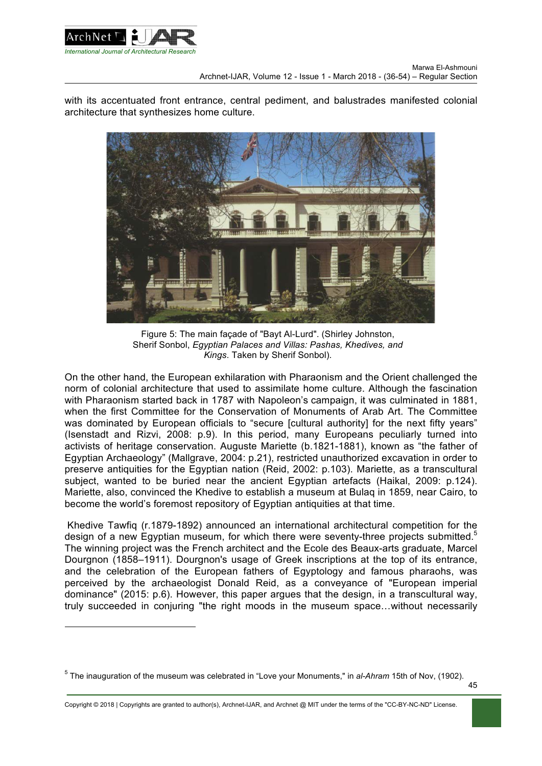

 $\overline{a}$ 

with its accentuated front entrance, central pediment, and balustrades manifested colonial architecture that synthesizes home culture.



Figure 5: The main façade of "Bayt Al-Lurd". (Shirley Johnston, Sherif Sonbol, *Egyptian Palaces and Villas: Pashas, Khedives, and Kings*. Taken by Sherif Sonbol).

On the other hand, the European exhilaration with Pharaonism and the Orient challenged the norm of colonial architecture that used to assimilate home culture. Although the fascination with Pharaonism started back in 1787 with Napoleon's campaign, it was culminated in 1881, when the first Committee for the Conservation of Monuments of Arab Art. The Committee was dominated by European officials to "secure [cultural authority] for the next fifty years" (Isenstadt and Rizvi, 2008: p.9). In this period, many Europeans peculiarly turned into activists of heritage conservation. Auguste Mariette (b.1821-1881), known as "the father of Egyptian Archaeology" (Mallgrave, 2004: p.21), restricted unauthorized excavation in order to preserve antiquities for the Egyptian nation (Reid, 2002: p.103). Mariette, as a transcultural subject, wanted to be buried near the ancient Egyptian artefacts (Haikal, 2009: p.124). Mariette, also, convinced the Khedive to establish a museum at Bulaq in 1859, near Cairo, to become the world's foremost repository of Egyptian antiquities at that time.

Khedive Tawfiq (r.1879-1892) announced an international architectural competition for the design of a new Egyptian museum, for which there were seventy-three projects submitted.<sup>5</sup> The winning project was the French architect and the Ecole des Beaux-arts graduate, Marcel Dourgnon (1858–1911). Dourgnon's usage of Greek inscriptions at the top of its entrance, and the celebration of the European fathers of Egyptology and famous pharaohs, was perceived by the archaeologist Donald Reid, as a conveyance of "European imperial dominance" (2015: p.6). However, this paper argues that the design, in a transcultural way, truly succeeded in conjuring "the right moods in the museum space…without necessarily

<sup>5</sup> The inauguration of the museum was celebrated in "Love your Monuments," in *al-Ahram* 15th of Nov, (1902).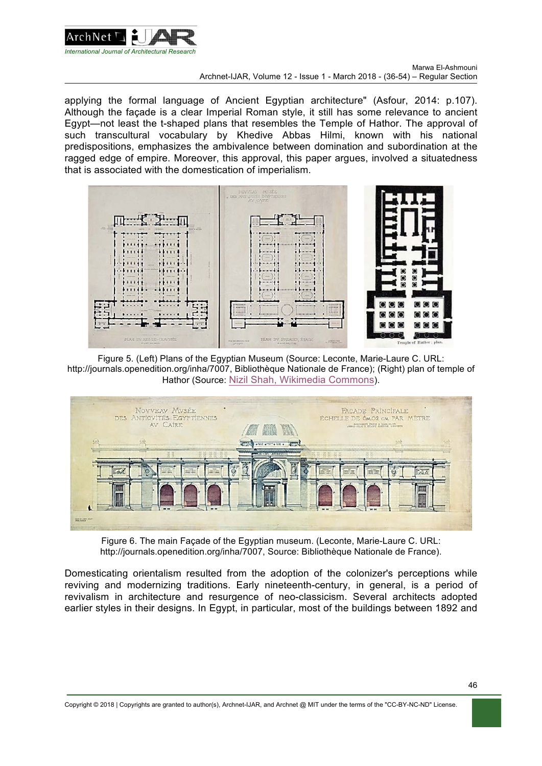

applying the formal language of Ancient Egyptian architecture" (Asfour, 2014: p.107). Although the façade is a clear Imperial Roman style, it still has some relevance to ancient Egypt—not least the t-shaped plans that resembles the Temple of Hathor. The approval of such transcultural vocabulary by Khedive Abbas Hilmi, known with his national predispositions, emphasizes the ambivalence between domination and subordination at the ragged edge of empire. Moreover, this approval, this paper argues, involved a situatedness that is associated with the domestication of imperialism.



Figure 5. (Left) Plans of the Egyptian Museum (Source: Leconte, Marie-Laure C. URL: http://journals.openedition.org/inha/7007, Bibliothèque Nationale de France); (Right) plan of temple of Hathor (Source: Nizil Shah, Wikimedia Commons).



Figure 6. The main Façade of the Egyptian museum. (Leconte, Marie-Laure C. URL: http://journals.openedition.org/inha/7007, Source: Bibliothèque Nationale de France).

Domesticating orientalism resulted from the adoption of the colonizer's perceptions while reviving and modernizing traditions. Early nineteenth-century, in general, is a period of revivalism in architecture and resurgence of neo-classicism. Several architects adopted earlier styles in their designs. In Egypt, in particular, most of the buildings between 1892 and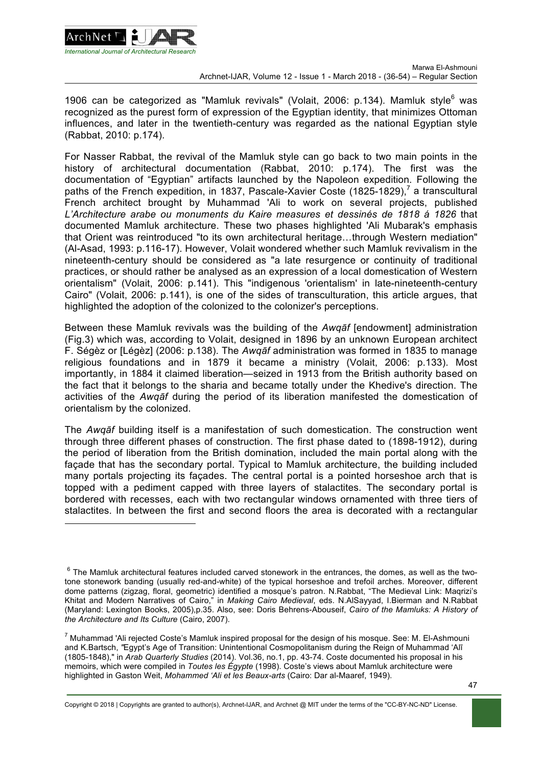

l

1906 can be categorized as "Mamluk revivals" (Volait, 2006: p.134). Mamluk style $^6$  was recognized as the purest form of expression of the Egyptian identity, that minimizes Ottoman influences, and later in the twentieth-century was regarded as the national Egyptian style (Rabbat, 2010: p.174).

For Nasser Rabbat, the revival of the Mamluk style can go back to two main points in the history of architectural documentation (Rabbat, 2010: p.174). The first was the documentation of "Egyptian" artifacts launched by the Napoleon expedition. Following the paths of the French expedition, in 1837, Pascale-Xavier Coste (1825-1829),<sup>7</sup> a transcultural French architect brought by Muhammad 'Ali to work on several projects, published *L'Architecture arabe ou monuments du Kaire measures et dessinés de 1818 á 1826* that documented Mamluk architecture. These two phases highlighted 'Ali Mubarak's emphasis that Orient was reintroduced "to its own architectural heritage…through Western mediation" (Al-Asad, 1993: p.116-17). However, Volait wondered whether such Mamluk revivalism in the nineteenth-century should be considered as "a late resurgence or continuity of traditional practices, or should rather be analysed as an expression of a local domestication of Western orientalism" (Volait, 2006: p.141). This "indigenous 'orientalism' in late-nineteenth-century Cairo" (Volait, 2006: p.141), is one of the sides of transculturation, this article argues, that highlighted the adoption of the colonized to the colonizer's perceptions.

Between these Mamluk revivals was the building of the *Awqāf* [endowment] administration (Fig.3) which was, according to Volait, designed in 1896 by an unknown European architect F. Ségèz or [Légèz] (2006: p.138). The *Awqāf* administration was formed in 1835 to manage religious foundations and in 1879 it became a ministry (Volait, 2006: p.133). Most importantly, in 1884 it claimed liberation—seized in 1913 from the British authority based on the fact that it belongs to the sharia and became totally under the Khedive's direction. The activities of the *Awqāf* during the period of its liberation manifested the domestication of orientalism by the colonized.

The *Awqāf* building itself is a manifestation of such domestication. The construction went through three different phases of construction. The first phase dated to (1898-1912), during the period of liberation from the British domination, included the main portal along with the façade that has the secondary portal. Typical to Mamluk architecture, the building included many portals projecting its façades. The central portal is a pointed horseshoe arch that is topped with a pediment capped with three layers of stalactites. The secondary portal is bordered with recesses, each with two rectangular windows ornamented with three tiers of stalactites. In between the first and second floors the area is decorated with a rectangular

Copyright © 2018 | Copyrights are granted to author(s), Archnet-IJAR, and Archnet @ MIT under the terms of the "CC-BY-NC-ND" License.

 $6$  The Mamluk architectural features included carved stonework in the entrances, the domes, as well as the twotone stonework banding (usually red-and-white) of the typical horseshoe and trefoil arches. Moreover, different dome patterns (zigzag, floral, geometric) identified a mosque's patron. N.Rabbat, "The Medieval Link: Maqrizi's Khitat and Modern Narratives of Cairo," in *Making Cairo Medieval*, eds. N.AlSayyad, I.Bierman and N.Rabbat (Maryland: Lexington Books, 2005),p.35. Also, see: Doris Behrens-Abouseif, *Cairo of the Mamluks: A History of the Architecture and Its Culture* (Cairo, 2007).

<sup>&</sup>lt;sup>7</sup> Muhammad 'Ali rejected Coste's Mamluk inspired proposal for the design of his mosque. See: M. El-Ashmouni and K.Bartsch, *"*Egypt's Age of Transition: Unintentional Cosmopolitanism during the Reign of Muhammad 'Alī (1805-1848)," in *Arab Quarterly Studies* (2014). Vol.36, no.1, pp. 43-74. Coste documented his proposal in his memoirs, which were compiled in *Toutes les Égypte* (1998). Coste's views about Mamluk architecture were highlighted in Gaston Weit, *Mohammed 'Ali et les Beaux-arts* (Cairo: Dar al-Maaref, 1949).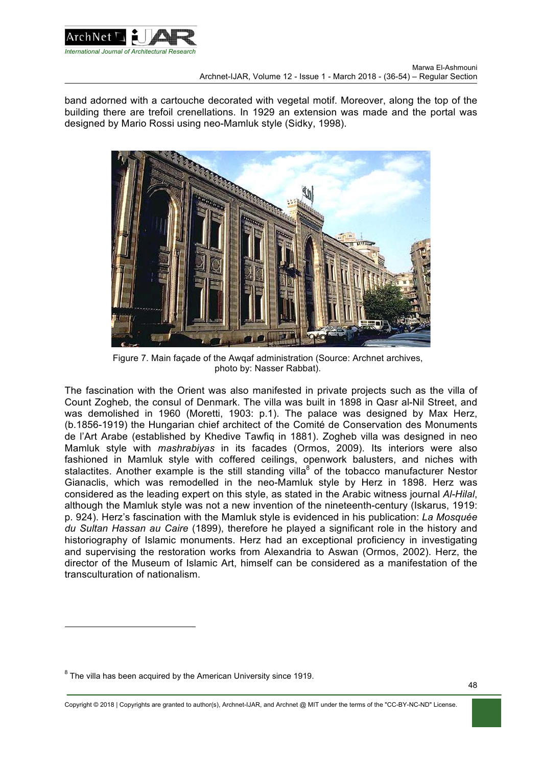

band adorned with a cartouche decorated with vegetal motif. Moreover, along the top of the building there are trefoil crenellations. In 1929 an extension was made and the portal was designed by Mario Rossi using neo-Mamluk style (Sidky, 1998).



Figure 7. Main façade of the Awqaf administration (Source: Archnet archives, photo by: Nasser Rabbat).

The fascination with the Orient was also manifested in private projects such as the villa of Count Zogheb, the consul of Denmark. The villa was built in 1898 in Qasr al-Nil Street, and was demolished in 1960 (Moretti, 1903: p.1). The palace was designed by Max Herz. (b.1856-1919) the Hungarian chief architect of the Comité de Conservation des Monuments de l'Art Arabe (established by Khedive Tawfiq in 1881). Zogheb villa was designed in neo Mamluk style with *mashrabiyas* in its facades (Ormos, 2009). Its interiors were also fashioned in Mamluk style with coffered ceilings, openwork balusters, and niches with stalactites. Another example is the still standing villa<sup>8</sup> of the tobacco manufacturer Nestor Gianaclis, which was remodelled in the neo-Mamluk style by Herz in 1898. Herz was considered as the leading expert on this style, as stated in the Arabic witness journal *Al-Hilal*, although the Mamluk style was not a new invention of the nineteenth-century (Iskarus, 1919: p. 924). Herz's fascination with the Mamluk style is evidenced in his publication: *La Mosquée du Sultan Hassan au Caire* (1899), therefore he played a significant role in the history and historiography of Islamic monuments. Herz had an exceptional proficiency in investigating and supervising the restoration works from Alexandria to Aswan (Ormos, 2002). Herz, the director of the Museum of Islamic Art, himself can be considered as a manifestation of the transculturation of nationalism.

 $\overline{a}$ 

 $8$  The villa has been acquired by the American University since 1919.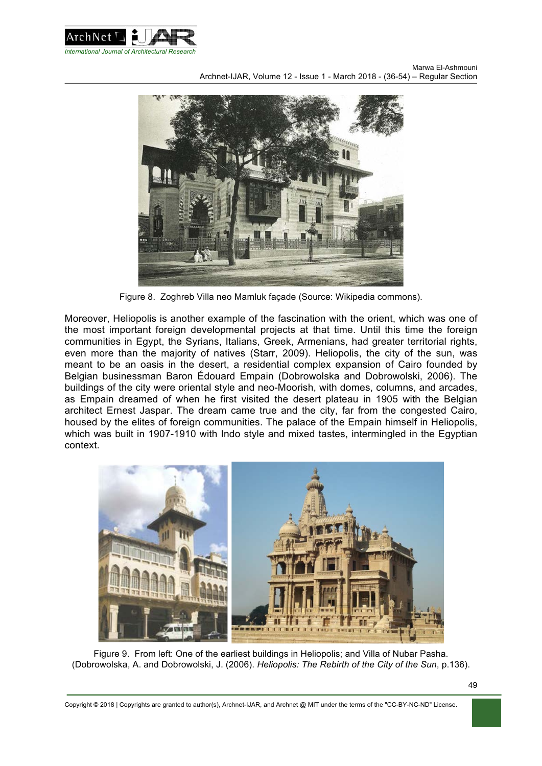



Figure 8. Zoghreb Villa neo Mamluk façade (Source: Wikipedia commons).

Moreover, Heliopolis is another example of the fascination with the orient, which was one of the most important foreign developmental projects at that time. Until this time the foreign communities in Egypt, the Syrians, Italians, Greek, Armenians, had greater territorial rights, even more than the majority of natives (Starr, 2009). Heliopolis, the city of the sun, was meant to be an oasis in the desert, a residential complex expansion of Cairo founded by Belgian businessman Baron Édouard Empain (Dobrowolska and Dobrowolski, 2006). The buildings of the city were oriental style and neo-Moorish, with domes, columns, and arcades, as Empain dreamed of when he first visited the desert plateau in 1905 with the Belgian architect Ernest Jaspar. The dream came true and the city, far from the congested Cairo, housed by the elites of foreign communities. The palace of the Empain himself in Heliopolis, which was built in 1907-1910 with Indo style and mixed tastes, intermingled in the Egyptian context.



Figure 9. From left: One of the earliest buildings in Heliopolis; and Villa of Nubar Pasha. (Dobrowolska, A. and Dobrowolski, J. (2006). *Heliopolis: The Rebirth of the City of the Sun*, p.136).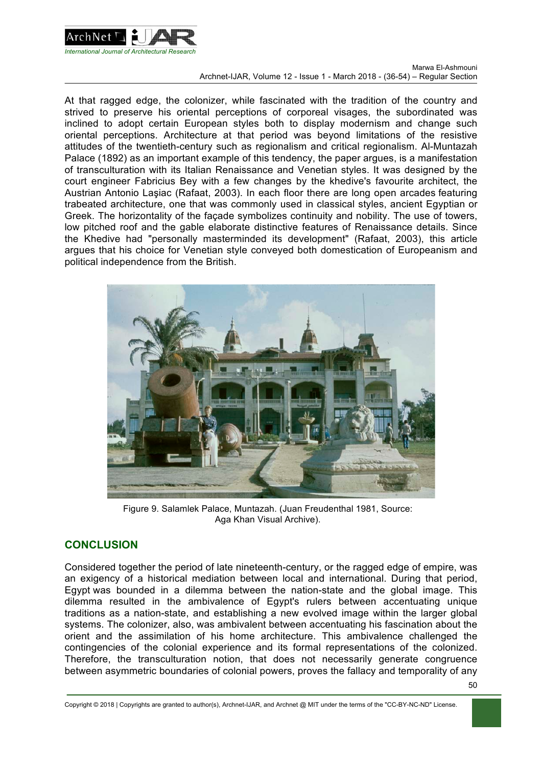

At that ragged edge, the colonizer, while fascinated with the tradition of the country and strived to preserve his oriental perceptions of corporeal visages, the subordinated was inclined to adopt certain European styles both to display modernism and change such oriental perceptions. Architecture at that period was beyond limitations of the resistive attitudes of the twentieth-century such as regionalism and critical regionalism. Al-Muntazah Palace (1892) as an important example of this tendency, the paper argues, is a manifestation of transculturation with its Italian Renaissance and Venetian styles. It was designed by the court engineer Fabricius Bey with a few changes by the khedive's favourite architect, the Austrian Antonio Laşiac (Rafaat, 2003). In each floor there are long open arcades featuring trabeated architecture, one that was commonly used in classical styles, ancient Egyptian or Greek. The horizontality of the façade symbolizes continuity and nobility. The use of towers, low pitched roof and the gable elaborate distinctive features of Renaissance details. Since the Khedive had "personally masterminded its development" (Rafaat, 2003), this article argues that his choice for Venetian style conveyed both domestication of Europeanism and political independence from the British.



Figure 9. Salamlek Palace, Muntazah. (Juan Freudenthal 1981, Source: Aga Khan Visual Archive).

# **CONCLUSION**

Considered together the period of late nineteenth-century, or the ragged edge of empire, was an exigency of a historical mediation between local and international. During that period, Egypt was bounded in a dilemma between the nation-state and the global image. This dilemma resulted in the ambivalence of Egypt's rulers between accentuating unique traditions as a nation-state, and establishing a new evolved image within the larger global systems. The colonizer, also, was ambivalent between accentuating his fascination about the orient and the assimilation of his home architecture. This ambivalence challenged the contingencies of the colonial experience and its formal representations of the colonized. Therefore, the transculturation notion, that does not necessarily generate congruence between asymmetric boundaries of colonial powers, proves the fallacy and temporality of any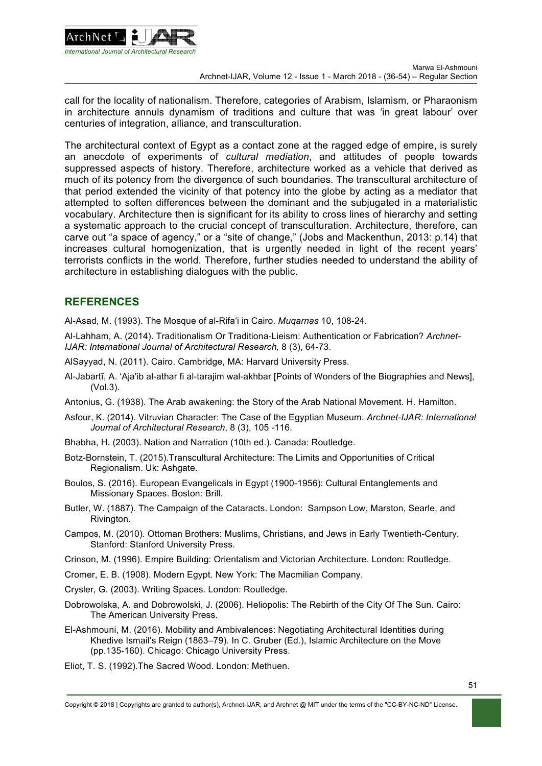

call for the locality of nationalism. Therefore, categories of Arabism, Islamism, or Pharaonism in architecture annuls dynamism of traditions and culture that was 'in great labour' over centuries of integration, alliance, and transculturation.

The architectural context of Egypt as a contact zone at the ragged edge of empire, is surely an anecdote of experiments of *cultural mediation*, and attitudes of people towards suppressed aspects of history. Therefore, architecture worked as a vehicle that derived as much of its potency from the divergence of such boundaries. The transcultural architecture of that period extended the vicinity of that potency into the globe by acting as a mediator that attempted to soften differences between the dominant and the subjugated in a materialistic vocabulary. Architecture then is significant for its ability to cross lines of hierarchy and setting a systematic approach to the crucial concept of transculturation. Architecture, therefore, can carve out "a space of agency," or a "site of change," (Jobs and Mackenthun, 2013: p.14) that increases cultural homogenization, that is urgently needed in light of the recent years' terrorists conflicts in the world. Therefore, further studies needed to understand the ability of architecture in establishing dialogues with the public.

### **REFERENCES**

Al-Asad, M. (1993). The Mosque of al-Rifa'i in Cairo. *Muqarnas* 10, 108-24.

Al-Lahham, A. (2014). Traditionalism Or Traditiona-Lieism: Authentication or Fabrication? *Archnet-IJAR: International Journal of Architectural Research,* 8 (3), 64-73.

- AlSayyad, N. (2011). Cairo. Cambridge, MA: Harvard University Press.
- Al-Jabartī, A. 'Aja'ib al-athar fi al-tarajim wal-akhbar [Points of Wonders of the Biographies and News], (Vol.3).
- Antonius, G. (1938). The Arab awakening: the Story of the Arab National Movement. H. Hamilton.
- Asfour, K. (2014). Vitruvian Character: The Case of the Egyptian Museum. *Archnet-IJAR: International Journal of Architectural Research*, 8 (3), 105 -116.
- Bhabha, H. (2003). Nation and Narration (10th ed.). Canada: Routledge.
- Botz-Bornstein, T. (2015).Transcultural Architecture: The Limits and Opportunities of Critical Regionalism. Uk: Ashgate.
- Boulos, S. (2016). European Evangelicals in Egypt (1900-1956): Cultural Entanglements and Missionary Spaces. Boston: Brill.
- Butler, W. (1887). The Campaign of the Cataracts. London: Sampson Low, Marston, Searle, and Rivington.
- Campos, M. (2010). Ottoman Brothers: Muslims, Christians, and Jews in Early Twentieth-Century. Stanford: Stanford University Press.
- Crinson, M. (1996). Empire Building: Orientalism and Victorian Architecture. London: Routledge.
- Cromer, E. B. (1908). Modern Egypt. New York: The Macmilian Company.
- Crysler, G. (2003). Writing Spaces. London: Routledge.
- Dobrowolska, A. and Dobrowolski, J. (2006). Heliopolis: The Rebirth of the City Of The Sun. Cairo: The American University Press.
- El-Ashmouni, M. (2016). Mobility and Ambivalences: Negotiating Architectural Identities during Khedive Ismail's Reign (1863–79). In C. Gruber (Ed.), Islamic Architecture on the Move (pp.135-160). Chicago: Chicago University Press.
- Eliot, T. S. (1992).The Sacred Wood. London: Methuen.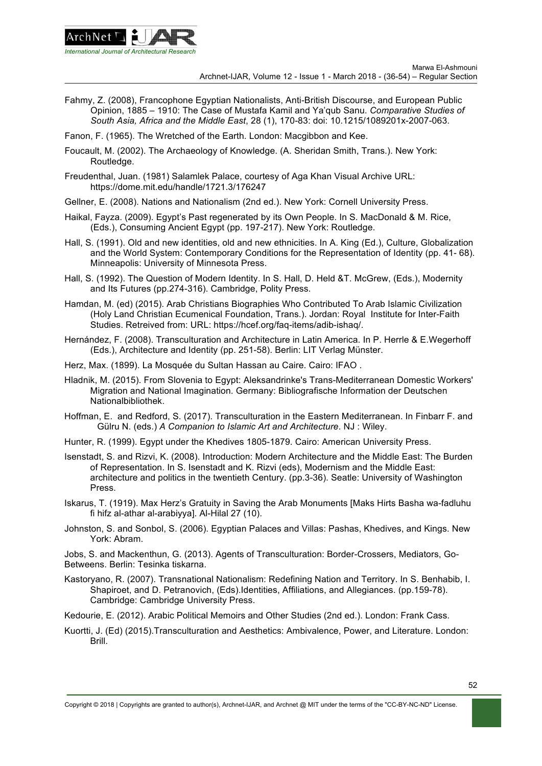

- Fahmy, Z. (2008), Francophone Egyptian Nationalists, Anti-British Discourse, and European Public Opinion, 1885 – 1910: The Case of Mustafa Kamil and Ya'qub Sanu. *Comparative Studies of South Asia, Africa and the Middle East*, 28 (1), 170-83: doi: 10.1215/1089201x-2007-063.
- Fanon, F. (1965). The Wretched of the Earth. London: Macgibbon and Kee.
- Foucault, M. (2002). The Archaeology of Knowledge. (A. Sheridan Smith, Trans.). New York: Routledge.
- Freudenthal, Juan. (1981) Salamlek Palace, courtesy of Aga Khan Visual Archive URL: https://dome.mit.edu/handle/1721.3/176247
- Gellner, E. (2008). Nations and Nationalism (2nd ed.). New York: Cornell University Press.
- Haikal, Fayza. (2009). Egypt's Past regenerated by its Own People. In S. MacDonald & M. Rice, (Eds.), Consuming Ancient Egypt (pp. 197-217). New York: Routledge.
- Hall, S. (1991). Old and new identities, old and new ethnicities. In A. King (Ed.), Culture, Globalization and the World System: Contemporary Conditions for the Representation of Identity (pp. 41- 68). Minneapolis: University of Minnesota Press.
- Hall, S. (1992). The Question of Modern Identity. In S. Hall, D. Held &T. McGrew, (Eds.), Modernity and Its Futures (pp.274-316). Cambridge, Polity Press.
- Hamdan, M. (ed) (2015). Arab Christians Biographies Who Contributed To Arab Islamic Civilization (Holy Land Christian Ecumenical Foundation, Trans.). Jordan: Royal Institute for Inter-Faith Studies. Retreived from: URL: https://hcef.org/faq-items/adib-ishaq/.
- Hernández, F. (2008). Transculturation and Architecture in Latin America. In P. Herrle & E.Wegerhoff (Eds.), Architecture and Identity (pp. 251-58). Berlin: LIT Verlag Münster.
- Herz, Max. (1899). La Mosquée du Sultan Hassan au Caire. Cairo: IFAO .
- Hladnik, M. (2015). From Slovenia to Egypt: Aleksandrinke's Trans-Mediterranean Domestic Workers' Migration and National Imagination. Germany: Bibliografische Information der Deutschen Nationalbibliothek.
- Hoffman, E. and Redford, S. (2017). Transculturation in the Eastern Mediterranean. In Finbarr F. and Gülru N. (eds.) *A Companion to Islamic Art and Architecture*. NJ : Wiley.
- Hunter, R. (1999). Egypt under the Khedives 1805-1879. Cairo: American University Press.
- Isenstadt, S. and Rizvi, K. (2008). Introduction: Modern Architecture and the Middle East: The Burden of Representation. In S. Isenstadt and K. Rizvi (eds), Modernism and the Middle East: architecture and politics in the twentieth Century. (pp.3-36). Seatle: University of Washington Press.
- Iskarus, T. (1919). Max Herz's Gratuity in Saving the Arab Monuments [Maks Hirts Basha wa-fadluhu fi hifz al-athar al-arabiyya]. Al-Hilal 27 (10).
- Johnston, S. and Sonbol, S. (2006). Egyptian Palaces and Villas: Pashas, Khedives, and Kings. New York: Abram.

Jobs, S. and Mackenthun, G. (2013). Agents of Transculturation: Border-Crossers, Mediators, Go-Betweens. Berlin: Tesinka tiskarna.

- Kastoryano, R. (2007). Transnational Nationalism: Redefining Nation and Territory. In S. Benhabib, I. Shapiroet, and D. Petranovich, (Eds).Identities, Affiliations, and Allegiances. (pp.159-78). Cambridge: Cambridge University Press.
- Kedourie, E. (2012). Arabic Political Memoirs and Other Studies (2nd ed.). London: Frank Cass.
- Kuortti, J. (Ed) (2015).Transculturation and Aesthetics: Ambivalence, Power, and Literature. London: Brill.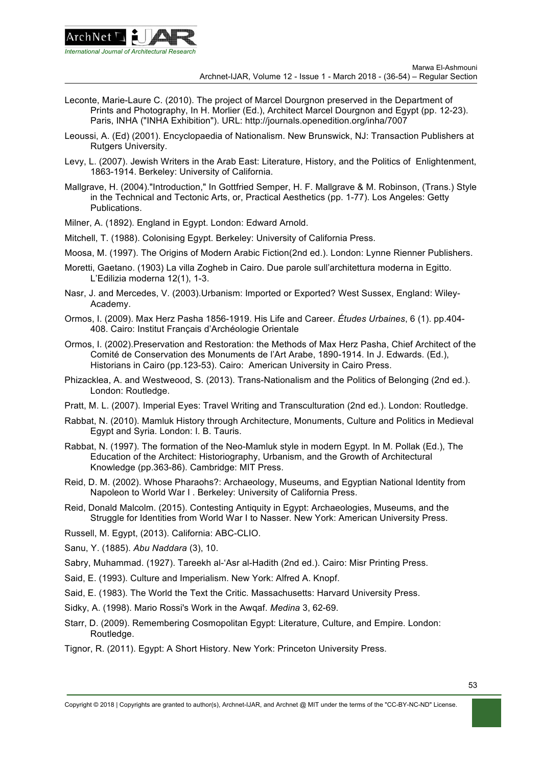

- Leconte, Marie-Laure C. (2010). The project of Marcel Dourgnon preserved in the Department of Prints and Photography, In H. Morlier (Ed.), Architect Marcel Dourgnon and Egypt (pp. 12-23). Paris, INHA ("INHA Exhibition"). URL: http://journals.openedition.org/inha/7007
- Leoussi, A. (Ed) (2001). Encyclopaedia of Nationalism. New Brunswick, NJ: Transaction Publishers at Rutgers University.
- Levy, L. (2007). Jewish Writers in the Arab East: Literature, History, and the Politics of Enlightenment, 1863-1914. Berkeley: University of California.
- Mallgrave, H. (2004)."Introduction," In Gottfried Semper, H. F. Mallgrave & M. Robinson, (Trans.) Style in the Technical and Tectonic Arts, or, Practical Aesthetics (pp. 1-77). Los Angeles: Getty Publications.
- Milner, A. (1892). England in Egypt. London: Edward Arnold.
- Mitchell, T. (1988). Colonising Egypt. Berkeley: University of California Press.
- Moosa, M. (1997). The Origins of Modern Arabic Fiction(2nd ed.). London: Lynne Rienner Publishers.
- Moretti, Gaetano. (1903) La villa Zogheb in Cairo. Due parole sull'architettura moderna in Egitto. L'Edilizia moderna 12(1), 1-3.
- Nasr, J. and Mercedes, V. (2003).Urbanism: Imported or Exported? West Sussex, England: Wiley-Academy.
- Ormos, I. (2009). Max Herz Pasha 1856-1919. His Life and Career. *Études Urbaines*, 6 (1). pp.404- 408. Cairo: Institut Français d'Archéologie Orientale
- Ormos, I. (2002).Preservation and Restoration: the Methods of Max Herz Pasha, Chief Architect of the Comité de Conservation des Monuments de l'Art Arabe, 1890-1914. In J. Edwards. (Ed.), Historians in Cairo (pp.123-53). Cairo: American University in Cairo Press.
- Phizacklea, A. and Westweood, S. (2013). Trans-Nationalism and the Politics of Belonging (2nd ed.). London: Routledge.
- Pratt, M. L. (2007). Imperial Eyes: Travel Writing and Transculturation (2nd ed.). London: Routledge.
- Rabbat, N. (2010). Mamluk History through Architecture, Monuments, Culture and Politics in Medieval Egypt and Syria. London: I. B. Tauris.
- Rabbat, N. (1997). The formation of the Neo-Mamluk style in modern Egypt. In M. Pollak (Ed.), The Education of the Architect: Historiography, Urbanism, and the Growth of Architectural Knowledge (pp.363-86). Cambridge: MIT Press.
- Reid, D. M. (2002). Whose Pharaohs?: Archaeology, Museums, and Egyptian National Identity from Napoleon to World War I . Berkeley: University of California Press.
- Reid, Donald Malcolm. (2015). Contesting Antiquity in Egypt: Archaeologies, Museums, and the Struggle for Identities from World War I to Nasser. New York: American University Press.
- Russell, M. Egypt, (2013). California: ABC-CLIO.
- Sanu, Y. (1885). *Abu Naddara* (3), 10.
- Sabry, Muhammad. (1927). Tareekh al-'Asr al-Hadith (2nd ed.). Cairo: Misr Printing Press.
- Said, E. (1993). Culture and Imperialism. New York: Alfred A. Knopf.
- Said, E. (1983). The World the Text the Critic. Massachusetts: Harvard University Press.
- Sidky, A. (1998). Mario Rossi's Work in the Awqaf. *Medina* 3, 62-69.
- Starr, D. (2009). Remembering Cosmopolitan Egypt: Literature, Culture, and Empire. London: Routledge.
- Tignor, R. (2011). Egypt: A Short History. New York: Princeton University Press.